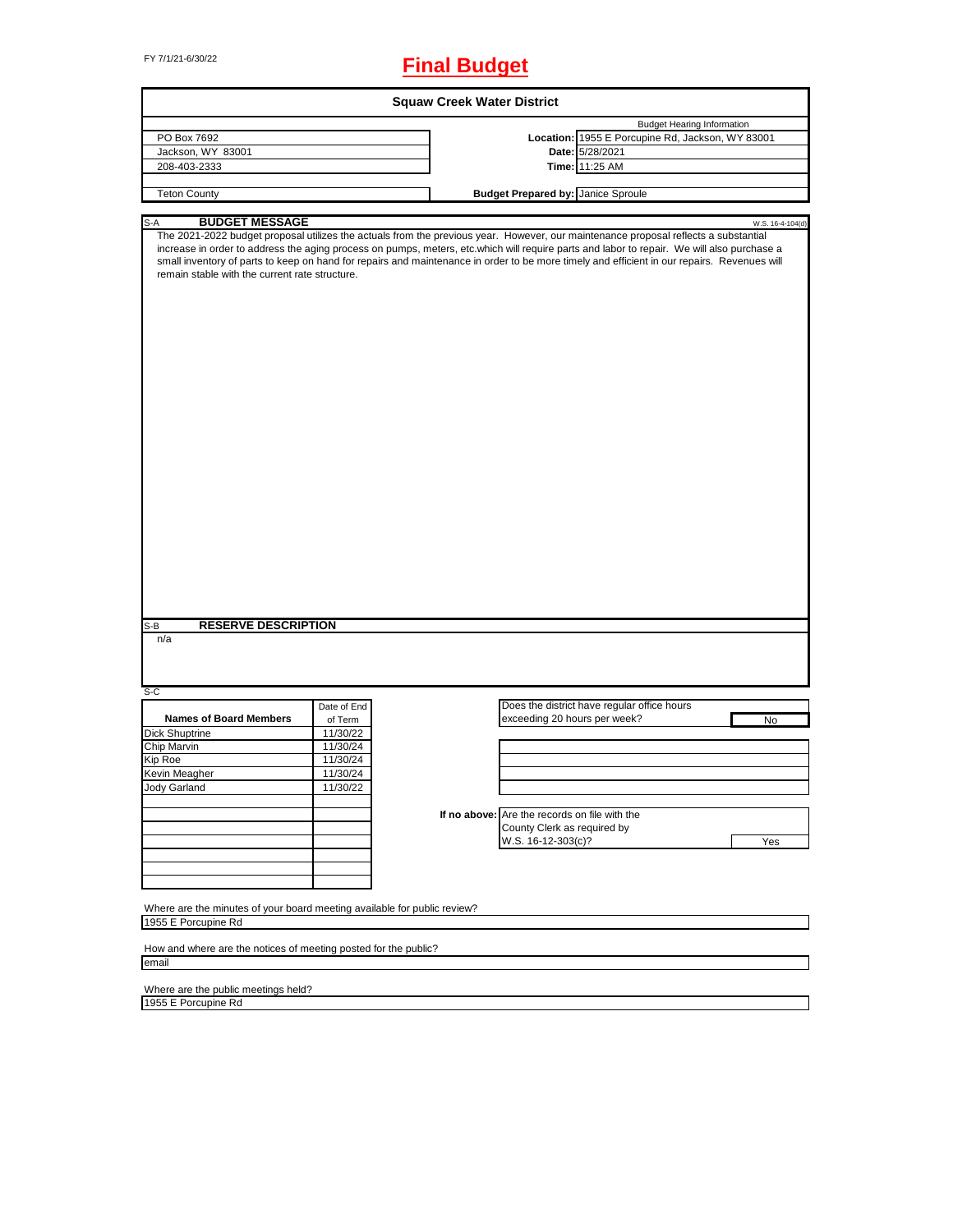# FY 7/1/21-6/30/22 **Final Budget**

|                                                                                                                                                                                                                                                                                                                                                                                                                                                                                                                    |             | <b>Squaw Creek Water District</b> |                                               |                                                  |                  |
|--------------------------------------------------------------------------------------------------------------------------------------------------------------------------------------------------------------------------------------------------------------------------------------------------------------------------------------------------------------------------------------------------------------------------------------------------------------------------------------------------------------------|-------------|-----------------------------------|-----------------------------------------------|--------------------------------------------------|------------------|
|                                                                                                                                                                                                                                                                                                                                                                                                                                                                                                                    |             |                                   |                                               | <b>Budget Hearing Information</b>                |                  |
| PO Box 7692                                                                                                                                                                                                                                                                                                                                                                                                                                                                                                        |             |                                   |                                               | Location: 1955 E Porcupine Rd, Jackson, WY 83001 |                  |
| Jackson, WY 83001                                                                                                                                                                                                                                                                                                                                                                                                                                                                                                  |             |                                   |                                               | Date: 5/28/2021                                  |                  |
| 208-403-2333                                                                                                                                                                                                                                                                                                                                                                                                                                                                                                       |             |                                   |                                               | Time: 11:25 AM                                   |                  |
| <b>Teton County</b>                                                                                                                                                                                                                                                                                                                                                                                                                                                                                                |             |                                   | <b>Budget Prepared by: Janice Sproule</b>     |                                                  |                  |
|                                                                                                                                                                                                                                                                                                                                                                                                                                                                                                                    |             |                                   |                                               |                                                  |                  |
| <b>BUDGET MESSAGE</b><br>S-A<br>The 2021-2022 budget proposal utilizes the actuals from the previous year. However, our maintenance proposal reflects a substantial<br>increase in order to address the aging process on pumps, meters, etc.which will require parts and labor to repair. We will also purchase a<br>small inventory of parts to keep on hand for repairs and maintenance in order to be more timely and efficient in our repairs. Revenues will<br>remain stable with the current rate structure. |             |                                   |                                               |                                                  | W.S. 16-4-104(d) |
|                                                                                                                                                                                                                                                                                                                                                                                                                                                                                                                    |             |                                   |                                               |                                                  |                  |
| <b>RESERVE DESCRIPTION</b><br>S-B<br>n/a<br>S-C                                                                                                                                                                                                                                                                                                                                                                                                                                                                    |             |                                   |                                               |                                                  |                  |
|                                                                                                                                                                                                                                                                                                                                                                                                                                                                                                                    | Date of End |                                   |                                               | Does the district have regular office hours      |                  |
| <b>Names of Board Members</b>                                                                                                                                                                                                                                                                                                                                                                                                                                                                                      | of Term     |                                   | exceeding 20 hours per week?                  |                                                  | No               |
| Dick Shuptrine                                                                                                                                                                                                                                                                                                                                                                                                                                                                                                     | 11/30/22    |                                   |                                               |                                                  |                  |
| Chip Marvin                                                                                                                                                                                                                                                                                                                                                                                                                                                                                                        | 11/30/24    |                                   |                                               |                                                  |                  |
| Kip Roe                                                                                                                                                                                                                                                                                                                                                                                                                                                                                                            | 11/30/24    |                                   |                                               |                                                  |                  |
| Kevin Meagher                                                                                                                                                                                                                                                                                                                                                                                                                                                                                                      | 11/30/24    |                                   |                                               |                                                  |                  |
| Jody Garland                                                                                                                                                                                                                                                                                                                                                                                                                                                                                                       | 11/30/22    |                                   |                                               |                                                  |                  |
|                                                                                                                                                                                                                                                                                                                                                                                                                                                                                                                    |             |                                   |                                               |                                                  |                  |
|                                                                                                                                                                                                                                                                                                                                                                                                                                                                                                                    |             |                                   | If no above: Are the records on file with the |                                                  |                  |
|                                                                                                                                                                                                                                                                                                                                                                                                                                                                                                                    |             |                                   | County Clerk as required by                   |                                                  |                  |
|                                                                                                                                                                                                                                                                                                                                                                                                                                                                                                                    |             |                                   | W.S. 16-12-303(c)?                            |                                                  | Yes              |
|                                                                                                                                                                                                                                                                                                                                                                                                                                                                                                                    |             |                                   |                                               |                                                  |                  |
|                                                                                                                                                                                                                                                                                                                                                                                                                                                                                                                    |             |                                   |                                               |                                                  |                  |
|                                                                                                                                                                                                                                                                                                                                                                                                                                                                                                                    |             |                                   |                                               |                                                  |                  |
| Where are the minutes of your board meeting available for public review?<br>1955 E Porcupine Rd                                                                                                                                                                                                                                                                                                                                                                                                                    |             |                                   |                                               |                                                  |                  |
| How and where are the notices of meeting posted for the public?                                                                                                                                                                                                                                                                                                                                                                                                                                                    |             |                                   |                                               |                                                  |                  |
| email                                                                                                                                                                                                                                                                                                                                                                                                                                                                                                              |             |                                   |                                               |                                                  |                  |
|                                                                                                                                                                                                                                                                                                                                                                                                                                                                                                                    |             |                                   |                                               |                                                  |                  |

Where are the public meetings held?

1955 E Porcupine Rd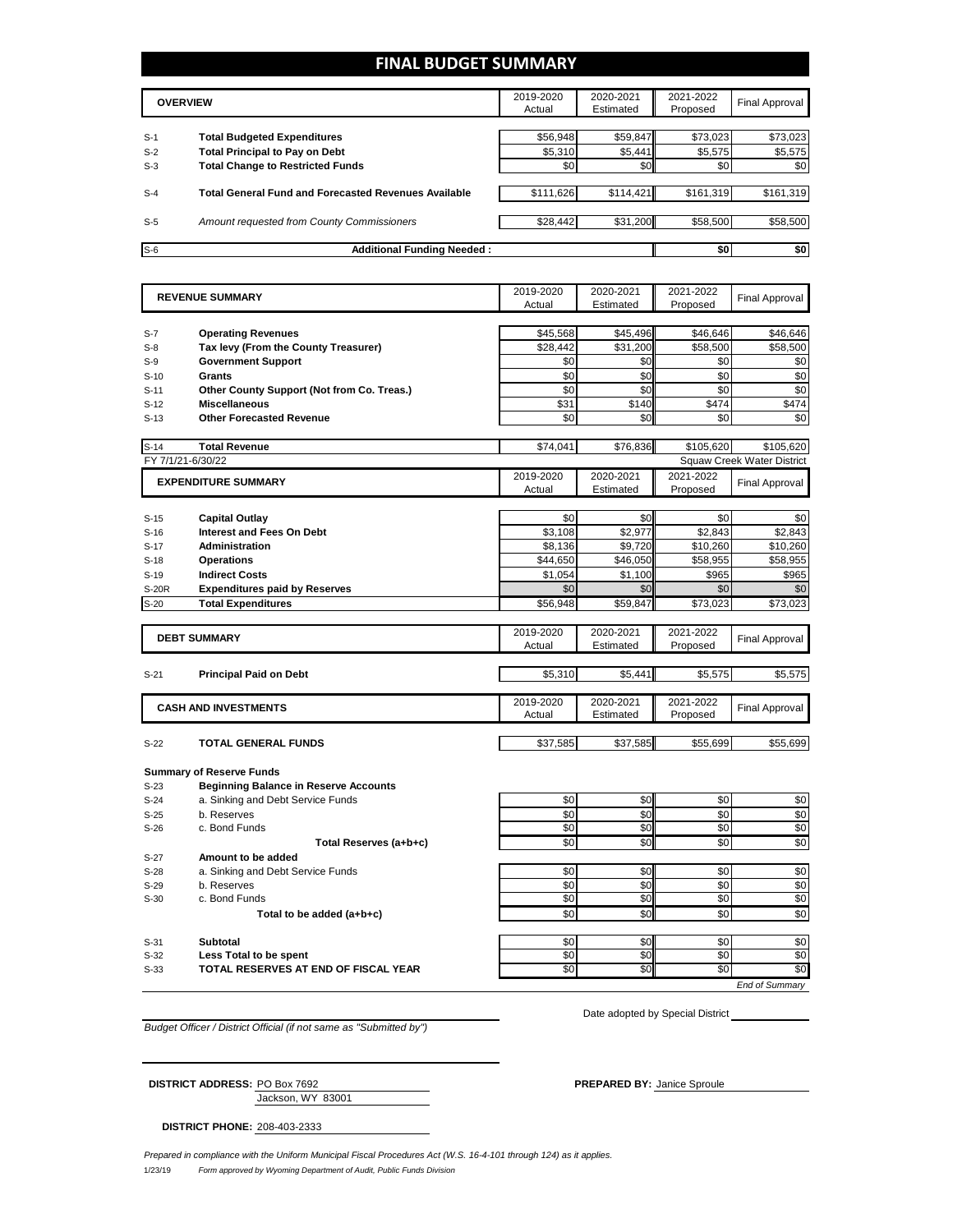### **FINAL BUDGET SUMMARY**

|       | <b>OVERVIEW</b>                                             | 2019-2020<br>Actual | 2020-2021<br>Estimated | 2021-2022<br>Proposed | Final Approval |
|-------|-------------------------------------------------------------|---------------------|------------------------|-----------------------|----------------|
|       |                                                             |                     |                        |                       |                |
| $S-1$ | <b>Total Budgeted Expenditures</b>                          | \$56,948            | \$59,847               | \$73,023              | \$73,023       |
| $S-2$ | <b>Total Principal to Pay on Debt</b>                       | \$5,310             | \$5,441                | \$5,575               | \$5,575        |
| $S-3$ | <b>Total Change to Restricted Funds</b>                     | \$0                 | \$0                    | \$0                   | \$0            |
| $S-4$ | <b>Total General Fund and Forecasted Revenues Available</b> | \$111,626           | \$114,421              | \$161,319             | \$161,319      |
|       |                                                             |                     |                        |                       |                |
| $S-5$ | Amount requested from County Commissioners                  | \$28,442            | \$31,200               | \$58,500              | \$58,500       |
|       |                                                             |                     |                        |                       |                |
| $S-6$ | <b>Additional Funding Needed:</b>                           |                     |                        | \$0                   | \$0            |

|                  | <b>REVENUE SUMMARY</b>                           |            | 2020-2021<br>Estimated | 2021-2022<br>Proposed | <b>Final Approval</b>             |
|------------------|--------------------------------------------------|------------|------------------------|-----------------------|-----------------------------------|
|                  |                                                  | Actual     |                        |                       |                                   |
| $S-7$            | <b>Operating Revenues</b>                        | \$45,568   | \$45,496               | \$46,646              | \$46,646                          |
| $S-8$            | Tax levy (From the County Treasurer)             | \$28,442   | \$31,200               | \$58,500              | \$58,500                          |
| $S-9$            | <b>Government Support</b>                        | \$0        | \$0                    | \$0                   | \$0                               |
| $S-10$           | <b>Grants</b>                                    | \$0        | \$0                    | \$0                   | \$0                               |
| $S-11$           | Other County Support (Not from Co. Treas.)       | \$0        | \$0                    | \$0                   | \$0                               |
| $S-12$           | <b>Miscellaneous</b>                             | \$31       | \$140                  | \$474                 | \$474                             |
| $S-13$           | <b>Other Forecasted Revenue</b>                  | \$0        | \$0                    | \$0                   | \$0                               |
|                  |                                                  |            |                        |                       |                                   |
| $S-14$           | <b>Total Revenue</b>                             | \$74.041   | \$76.836               | \$105.620             | \$105.620                         |
|                  | FY 7/1/21-6/30/22                                |            |                        |                       | <b>Squaw Creek Water District</b> |
|                  | <b>EXPENDITURE SUMMARY</b>                       | 2019-2020  | 2020-2021              | 2021-2022             | <b>Final Approval</b>             |
|                  |                                                  | Actual     | Estimated              | Proposed              |                                   |
| $S-15$           | <b>Capital Outlay</b>                            | \$0        | \$0                    | \$0                   | \$0                               |
| $S-16$           | <b>Interest and Fees On Debt</b>                 | \$3,108    | \$2,977                | \$2,843               | \$2,843                           |
| $S-17$           | <b>Administration</b>                            | \$8,136    | \$9,720                | \$10,260              | \$10,260                          |
| $S-18$           | <b>Operations</b>                                | \$44,650   | \$46,050               | \$58,955              | \$58,955                          |
| $S-19$           | <b>Indirect Costs</b>                            | \$1,054    | \$1,100                | \$965                 | \$965                             |
| <b>S-20R</b>     | <b>Expenditures paid by Reserves</b>             | \$0        | \$0                    | \$0                   | \$0                               |
|                  | <b>Total Expenditures</b>                        | \$56,948   | \$59,847               | \$73,023              | \$73,023                          |
| $S-20$           |                                                  |            |                        |                       |                                   |
|                  | <b>DEBT SUMMARY</b>                              | 2019-2020  | 2020-2021              | 2021-2022             |                                   |
|                  |                                                  | Actual     | Estimated              | Proposed              | Final Approval                    |
|                  |                                                  |            |                        |                       |                                   |
| $S-21$           | <b>Principal Paid on Debt</b>                    | \$5,310    | \$5,441                | \$5,575               | \$5,575                           |
|                  |                                                  | 2019-2020  | 2020-2021              | 2021-2022             |                                   |
|                  | <b>CASH AND INVESTMENTS</b>                      | Actual     | Estimated              | Proposed              | <b>Final Approval</b>             |
|                  |                                                  |            |                        |                       |                                   |
| $S-22$           | <b>TOTAL GENERAL FUNDS</b>                       | \$37,585   | \$37,585               | \$55,699              | \$55,699                          |
|                  | <b>Summary of Reserve Funds</b>                  |            |                        |                       |                                   |
|                  |                                                  |            |                        |                       |                                   |
|                  |                                                  |            |                        |                       |                                   |
| $S-23$           | <b>Beginning Balance in Reserve Accounts</b>     |            |                        |                       |                                   |
| $S-24$           | a. Sinking and Debt Service Funds                | \$0        | \$0                    | \$0                   | \$0                               |
| $S-25$           | b. Reserves                                      | \$0        | \$0                    | \$0                   |                                   |
| $S-26$           | c. Bond Funds                                    | \$0        | \$0                    | \$0                   |                                   |
|                  | Total Reserves (a+b+c)                           | \$0        | \$0                    | \$0                   |                                   |
| $S-27$           | Amount to be added                               |            |                        |                       | \$0<br>\$0<br>\$0                 |
| $S-28$<br>$S-29$ | a. Sinking and Debt Service Funds<br>b. Reserves | \$0<br>\$0 | \$0                    | \$0<br>\$0            |                                   |
| $S-30$           | c. Bond Funds                                    | \$0        | \$0<br>\$0             | \$0                   | \$0<br>\$0                        |
|                  |                                                  | \$0        |                        |                       |                                   |
|                  | Total to be added (a+b+c)                        |            | \$0                    | \$0                   |                                   |
| $S-31$           | <b>Subtotal</b>                                  | \$0        | \$0                    | \$0                   |                                   |
| $S-32$           | Less Total to be spent                           | \$0        | \$0                    | \$0                   | \$0<br>\$0<br>\$0<br>\$0          |
| $S-33$           | TOTAL RESERVES AT END OF FISCAL YEAR             | \$0        | SO                     | $\overline{50}$       | \$0                               |

*Budget Officer / District Official (if not same as "Submitted by")*

Date adopted by Special District

| <b>DISTRICT ADDRESS: PO Box 7692</b> |                   | <b>PREPARED BY: Janice Sproule</b> |
|--------------------------------------|-------------------|------------------------------------|
|                                      | Jackson, WY 83001 |                                    |

**DISTRICT PHONE:** 208-403-2333

1/23/19 *Form approved by Wyoming Department of Audit, Public Funds Division Prepared in compliance with the Uniform Municipal Fiscal Procedures Act (W.S. 16-4-101 through 124) as it applies.*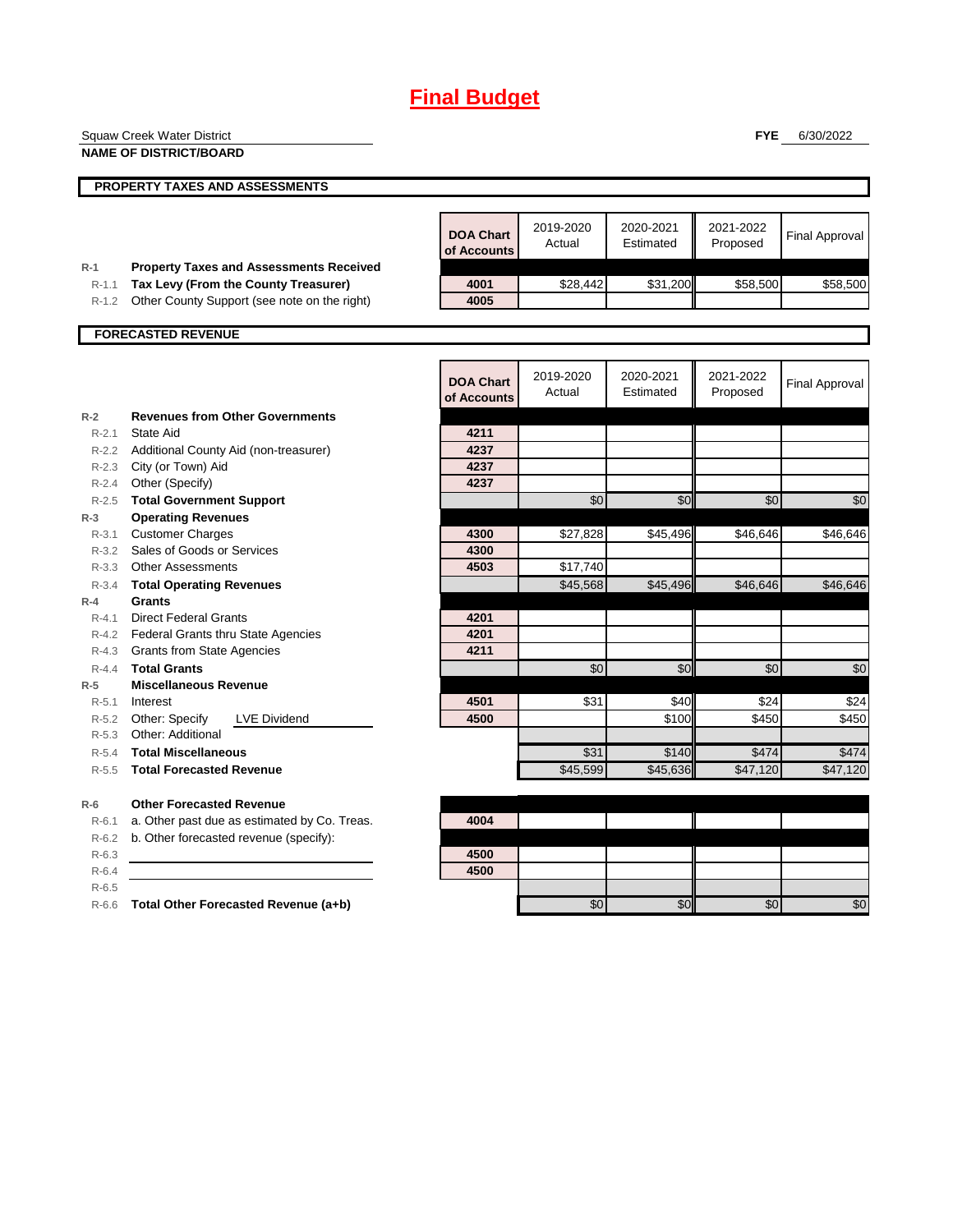|                | <b>Squaw Creek Water District</b>                    |                  |                     |                        | <b>FYE</b>            | 6/30/2022             |
|----------------|------------------------------------------------------|------------------|---------------------|------------------------|-----------------------|-----------------------|
|                | <b>NAME OF DISTRICT/BOARD</b>                        |                  |                     |                        |                       |                       |
|                |                                                      |                  |                     |                        |                       |                       |
|                | PROPERTY TAXES AND ASSESSMENTS                       |                  |                     |                        |                       |                       |
|                |                                                      |                  |                     |                        |                       |                       |
|                |                                                      | <b>DOA Chart</b> | 2019-2020<br>Actual | 2020-2021<br>Estimated | 2021-2022<br>Proposed | <b>Final Approval</b> |
|                |                                                      | of Accounts      |                     |                        |                       |                       |
| $R-1$          | <b>Property Taxes and Assessments Received</b>       |                  |                     |                        |                       |                       |
| $R-1.1$        | Tax Levy (From the County Treasurer)                 | 4001             | \$28,442            | \$31,200               | \$58,500              | \$58,500              |
| $R-1.2$        | Other County Support (see note on the right)         | 4005             |                     |                        |                       |                       |
|                | <b>FORECASTED REVENUE</b>                            |                  |                     |                        |                       |                       |
|                |                                                      |                  |                     |                        |                       |                       |
|                |                                                      |                  | 2019-2020           | 2020-2021              | 2021-2022             |                       |
|                |                                                      | <b>DOA Chart</b> | Actual              | Estimated              | Proposed              | <b>Final Approval</b> |
|                |                                                      | of Accounts      |                     |                        |                       |                       |
| $R-2$          | <b>Revenues from Other Governments</b>               |                  |                     |                        |                       |                       |
| $R - 2.1$      | <b>State Aid</b>                                     | 4211             |                     |                        |                       |                       |
| $R - 2.2$      | Additional County Aid (non-treasurer)                | 4237             |                     |                        |                       |                       |
|                | R-2.3 City (or Town) Aid                             | 4237<br>4237     |                     |                        |                       |                       |
|                | R-2.4 Other (Specify)                                |                  |                     |                        |                       |                       |
| R-2.5<br>$R-3$ | <b>Total Government Support</b>                      |                  | \$0                 | \$0                    | \$0                   | \$0                   |
|                | <b>Operating Revenues</b><br><b>Customer Charges</b> | 4300             | \$27,828            | \$45,496               | \$46,646              | \$46,646              |
| R-3.1          | R-3.2 Sales of Goods or Services                     | 4300             |                     |                        |                       |                       |
|                | R-3.3 Other Assessments                              | 4503             | \$17,740            |                        |                       |                       |
| $R - 3.4$      | <b>Total Operating Revenues</b>                      |                  | \$45,568            | \$45,496               | \$46,646              | \$46,646              |
| $R-4$          | Grants                                               |                  |                     |                        |                       |                       |
| $R - 4.1$      | <b>Direct Federal Grants</b>                         | 4201             |                     |                        |                       |                       |
|                | R-4.2 Federal Grants thru State Agencies             | 4201             |                     |                        |                       |                       |
|                | R-4.3 Grants from State Agencies                     | 4211             |                     |                        |                       |                       |
| $R - 4.4$      | <b>Total Grants</b>                                  |                  | \$0                 | \$0                    | \$0                   | \$0                   |
| $R-5$          | <b>Miscellaneous Revenue</b>                         |                  |                     |                        |                       |                       |
| $R - 5.1$      | Interest                                             | 4501             | \$31                | \$40                   | \$24                  | \$24                  |
| $R-5.2$        | Other: Specify<br><b>LVE Dividend</b>                | 4500             |                     | \$100                  | \$450                 | \$450                 |
| $R-5.3$        | Other: Additional                                    |                  |                     |                        |                       |                       |
| $R-5.4$        | <b>Total Miscellaneous</b>                           |                  | \$31                | \$140                  | \$474                 | \$474                 |
| $R - 5.5$      | <b>Total Forecasted Revenue</b>                      |                  | \$45,599            | \$45,636               | \$47,120              | \$47,120              |
| $R-6$          | <b>Other Forecasted Revenue</b>                      |                  |                     |                        |                       |                       |
| $R-6.1$        | a. Other past due as estimated by Co. Treas.         | 4004             |                     |                        |                       |                       |
| $R-6.2$        | b. Other forecasted revenue (specify):               |                  |                     |                        |                       |                       |
| $R-6.3$        |                                                      | 4500             |                     |                        |                       |                       |
| $R-6.4$        |                                                      | 4500             |                     |                        |                       |                       |
| $R - 6.5$      |                                                      |                  |                     |                        |                       |                       |
|                | R-6.6 Total Other Forecasted Revenue (a+b)           |                  | \$0                 | \$0                    | \$0                   | \$0                   |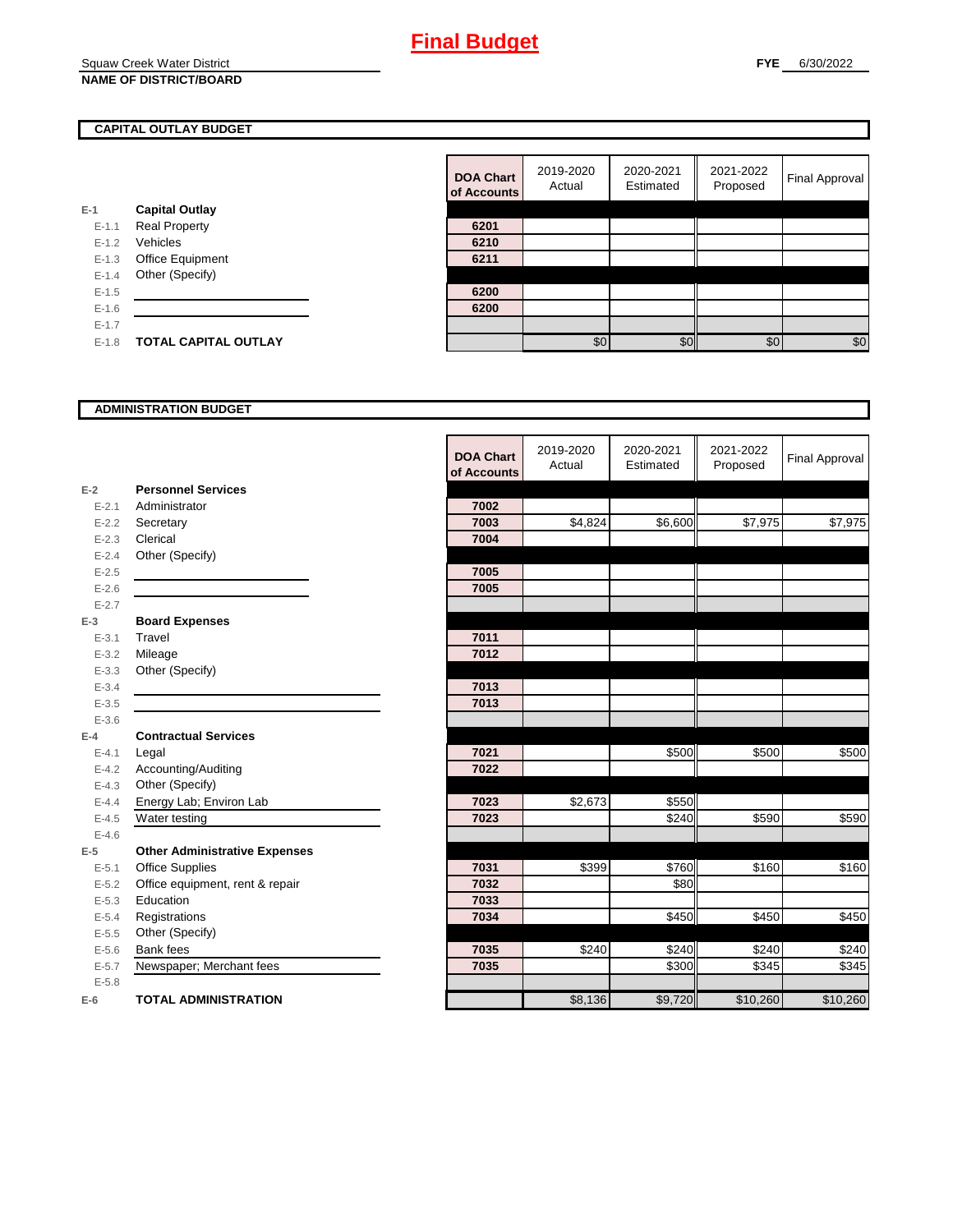#### **CAPITAL OUTLAY BUDGET**

|           |                             | VI AVVVJ |
|-----------|-----------------------------|----------|
| $E-1$     | <b>Capital Outlay</b>       |          |
| $E - 1.1$ | <b>Real Property</b>        | 6201     |
| $E - 1.2$ | Vehicles                    | 6210     |
| $E-1.3$   | Office Equipment            | 6211     |
| $E - 1.4$ | Other (Specify)             |          |
| $E - 1.5$ |                             | 6200     |
| $E - 1.6$ |                             | 6200     |
| $E-1.7$   |                             |          |
| $E - 1.8$ | <b>TOTAL CAPITAL OUTLAY</b> |          |
|           |                             |          |

| <b>DOA Chart</b><br>of Accounts | 2019-2020<br>Actual | 2020-2021<br>Estimated | 2021-2022<br>Proposed | <b>Final Approval</b> |
|---------------------------------|---------------------|------------------------|-----------------------|-----------------------|
|                                 |                     |                        |                       |                       |
| 6201                            |                     |                        |                       |                       |
| 6210                            |                     |                        |                       |                       |
| 6211                            |                     |                        |                       |                       |
|                                 |                     |                        |                       |                       |
| 6200                            |                     |                        |                       |                       |
| 6200                            |                     |                        |                       |                       |
|                                 |                     |                        |                       |                       |
|                                 | \$0                 | ፍሰ                     | \$0                   | \$0                   |

#### **ADMINISTRATION BUDGET**

|           |                                      | <b>DOA Chart</b><br>of Accounts | 2019-2020<br>Actual | 2020-2021<br>Estimated | 2021-2022<br>Proposed | <b>Final Approval</b> |
|-----------|--------------------------------------|---------------------------------|---------------------|------------------------|-----------------------|-----------------------|
| $E-2$     | <b>Personnel Services</b>            |                                 |                     |                        |                       |                       |
| $E - 2.1$ | Administrator                        | 7002                            |                     |                        |                       |                       |
| $E - 2.2$ | Secretary                            | 7003                            | \$4,824             | \$6,600                | \$7,975               | \$7,975               |
| $E - 2.3$ | Clerical                             | 7004                            |                     |                        |                       |                       |
| $E - 2.4$ | Other (Specify)                      |                                 |                     |                        |                       |                       |
| $E - 2.5$ |                                      | 7005                            |                     |                        |                       |                       |
| $E - 2.6$ |                                      | 7005                            |                     |                        |                       |                       |
| $E - 2.7$ |                                      |                                 |                     |                        |                       |                       |
| $E-3$     | <b>Board Expenses</b>                |                                 |                     |                        |                       |                       |
| $E - 3.1$ | Travel                               | 7011                            |                     |                        |                       |                       |
| $E - 3.2$ | Mileage                              | 7012                            |                     |                        |                       |                       |
| $E - 3.3$ | Other (Specify)                      |                                 |                     |                        |                       |                       |
| $E - 3.4$ |                                      | 7013                            |                     |                        |                       |                       |
| $E - 3.5$ |                                      | 7013                            |                     |                        |                       |                       |
| $E - 3.6$ |                                      |                                 |                     |                        |                       |                       |
| $E-4$     | <b>Contractual Services</b>          |                                 |                     |                        |                       |                       |
| $E - 4.1$ | Legal                                | 7021                            |                     | \$500                  | \$500                 | \$500                 |
| $E-4.2$   | Accounting/Auditing                  | 7022                            |                     |                        |                       |                       |
| $E-4.3$   | Other (Specify)                      |                                 |                     |                        |                       |                       |
| $E-4.4$   | Energy Lab; Environ Lab              | 7023                            | \$2,673             | \$550                  |                       |                       |
| $E-4.5$   | Water testing                        | 7023                            |                     | \$240                  | \$590                 | \$590                 |
| $E-4.6$   |                                      |                                 |                     |                        |                       |                       |
| $E-5$     | <b>Other Administrative Expenses</b> |                                 |                     |                        |                       |                       |
| $E - 5.1$ | <b>Office Supplies</b>               | 7031                            | \$399               | \$760                  | \$160                 | \$160                 |
| $E - 5.2$ | Office equipment, rent & repair      | 7032                            |                     | \$80                   |                       |                       |
| $E-5.3$   | Education                            | 7033                            |                     |                        |                       |                       |
| $E - 5.4$ | Registrations                        | 7034                            |                     | $\sqrt{$450}$          | \$450                 | \$450                 |
| $E - 5.5$ | Other (Specify)                      |                                 |                     |                        |                       |                       |
| $E-5.6$   | Bank fees                            | 7035                            | \$240               | \$240                  | \$240                 | \$240                 |
| $E - 5.7$ | Newspaper; Merchant fees             | 7035                            |                     | \$300                  | \$345                 | \$345                 |
| $E - 5.8$ |                                      |                                 |                     |                        |                       |                       |
| $E-6$     | <b>TOTAL ADMINISTRATION</b>          |                                 | \$8,136             | \$9,720                | \$10,260              | \$10,260              |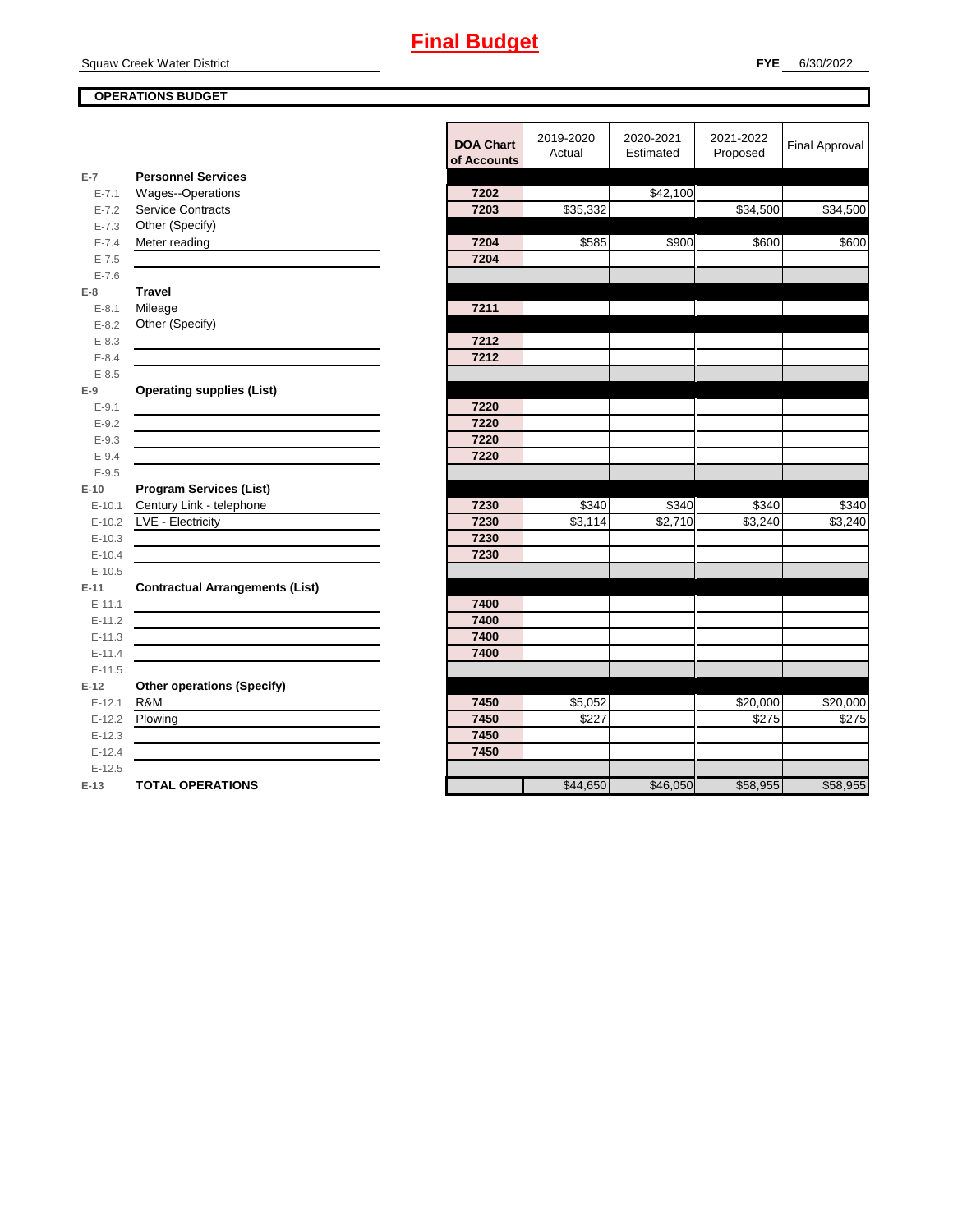Squaw Creek Water District

#### **OPERATIONS BUDGET**

|           |                                                                                           | <b>DOA Chart</b><br>of Accounts | 2019-2020<br>Actual | 2020-2021<br>Estimated | 2021-2022<br>Proposed | <b>Final Approval</b> |
|-----------|-------------------------------------------------------------------------------------------|---------------------------------|---------------------|------------------------|-----------------------|-----------------------|
| $E-7$     | <b>Personnel Services</b>                                                                 |                                 |                     |                        |                       |                       |
| $E - 7.1$ | Wages--Operations                                                                         | 7202                            |                     | \$42,100               |                       |                       |
| $E - 7.2$ | <b>Service Contracts</b>                                                                  | 7203                            | \$35,332            |                        | \$34,500              | \$34,500              |
| $E - 7.3$ | Other (Specify)                                                                           |                                 |                     |                        |                       |                       |
| $E - 7.4$ | Meter reading                                                                             | 7204                            | \$585               | \$900                  | \$600                 | \$600                 |
| $E - 7.5$ |                                                                                           | 7204                            |                     |                        |                       |                       |
| $E - 7.6$ |                                                                                           |                                 |                     |                        |                       |                       |
| E-8       | <b>Travel</b>                                                                             |                                 |                     |                        |                       |                       |
| $E - 8.1$ | Mileage                                                                                   | 7211                            |                     |                        |                       |                       |
| $E - 8.2$ | Other (Specify)                                                                           |                                 |                     |                        |                       |                       |
| $E - 8.3$ |                                                                                           | 7212                            |                     |                        |                       |                       |
| $E - 8.4$ |                                                                                           | 7212                            |                     |                        |                       |                       |
| $E - 8.5$ |                                                                                           |                                 |                     |                        |                       |                       |
| E-9       | <b>Operating supplies (List)</b>                                                          |                                 |                     |                        |                       |                       |
| $E - 9.1$ |                                                                                           | 7220                            |                     |                        |                       |                       |
| $E - 9.2$ |                                                                                           | 7220                            |                     |                        |                       |                       |
| $E - 9.3$ |                                                                                           | 7220                            |                     |                        |                       |                       |
| $E - 9.4$ |                                                                                           | 7220                            |                     |                        |                       |                       |
| $E - 9.5$ |                                                                                           |                                 |                     |                        |                       |                       |
| $E-10$    | <b>Program Services (List)</b>                                                            |                                 |                     |                        |                       |                       |
| $E-10.1$  | Century Link - telephone                                                                  | 7230                            | \$340               | \$340                  | \$340                 | \$340                 |
| $E-10.2$  | LVE - Electricity                                                                         | 7230                            | \$3,114             | \$2,710                | \$3,240               | \$3,240               |
| $E-10.3$  |                                                                                           | 7230                            |                     |                        |                       |                       |
| $E-10.4$  |                                                                                           | 7230                            |                     |                        |                       |                       |
| $E-10.5$  |                                                                                           |                                 |                     |                        |                       |                       |
| E-11      | <b>Contractual Arrangements (List)</b>                                                    |                                 |                     |                        |                       |                       |
| $E-11.1$  |                                                                                           | 7400                            |                     |                        |                       |                       |
| $E-11.2$  |                                                                                           | 7400                            |                     |                        |                       |                       |
| $E-11.3$  | the control of the control of the control of the control of the control of the control of | 7400                            |                     |                        |                       |                       |
| $E-11.4$  |                                                                                           | 7400                            |                     |                        |                       |                       |
| $E-11.5$  |                                                                                           |                                 |                     |                        |                       |                       |
| $E-12$    | <b>Other operations (Specify)</b>                                                         |                                 |                     |                        |                       |                       |
| $E-12.1$  | R&M                                                                                       | 7450                            | \$5,052             |                        | \$20,000              | \$20,000              |
| $E-12.2$  | Plowing                                                                                   | 7450                            | \$227               |                        | \$275                 | \$275                 |
| $E-12.3$  |                                                                                           | 7450                            |                     |                        |                       |                       |
| $E-12.4$  |                                                                                           | 7450                            |                     |                        |                       |                       |
| $E-12.5$  |                                                                                           |                                 |                     |                        |                       |                       |
| $E-13$    | <b>TOTAL OPERATIONS</b>                                                                   |                                 | \$44,650            | \$46,050               | \$58,955              | \$58,955              |
|           |                                                                                           |                                 |                     |                        |                       |                       |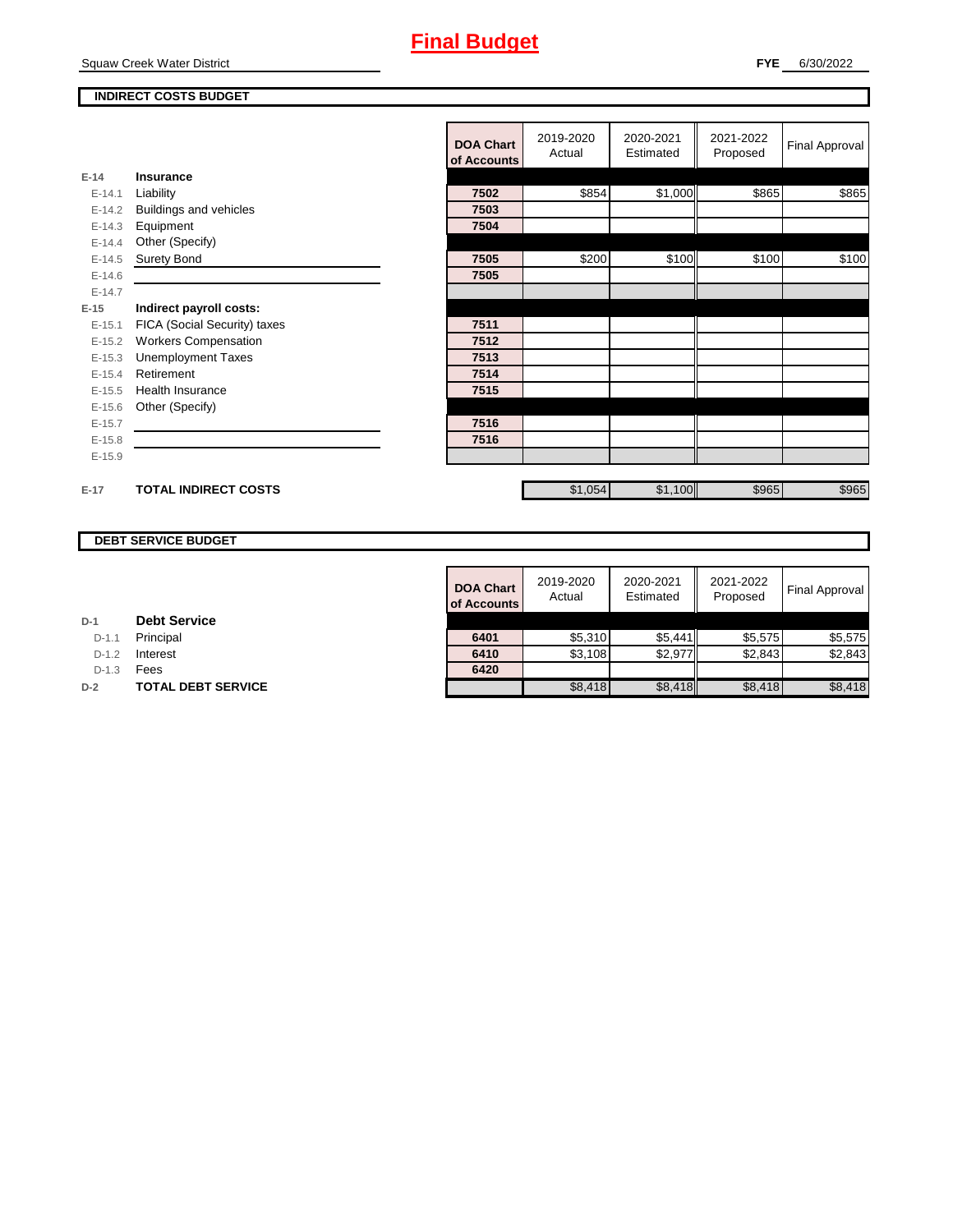Squaw Creek Water District

#### **INDIRECT COSTS BUDGET**

|          |                              | <b>DOA Chart</b><br>of Accounts | 2019-2020<br>Actual | 2020-2021<br>Estimated | 2021-2022<br>Proposed | <b>Final Approval</b> |
|----------|------------------------------|---------------------------------|---------------------|------------------------|-----------------------|-----------------------|
| $E-14$   | <b>Insurance</b>             |                                 |                     |                        |                       |                       |
| $E-14.1$ | Liability                    | 7502                            | \$854               | \$1,000                | \$865                 | \$865                 |
| $E-14.2$ | Buildings and vehicles       | 7503                            |                     |                        |                       |                       |
| $E-14.3$ | Equipment                    | 7504                            |                     |                        |                       |                       |
| $E-14.4$ | Other (Specify)              |                                 |                     |                        |                       |                       |
| $E-14.5$ | <b>Surety Bond</b>           | 7505                            | \$200               | \$100                  | \$100                 | \$100                 |
| $E-14.6$ |                              | 7505                            |                     |                        |                       |                       |
| $E-14.7$ |                              |                                 |                     |                        |                       |                       |
| $E-15$   | Indirect payroll costs:      |                                 |                     |                        |                       |                       |
| $E-15.1$ | FICA (Social Security) taxes | 7511                            |                     |                        |                       |                       |
| $E-15.2$ | <b>Workers Compensation</b>  | 7512                            |                     |                        |                       |                       |
| $E-15.3$ | <b>Unemployment Taxes</b>    | 7513                            |                     |                        |                       |                       |
| $E-15.4$ | Retirement                   | 7514                            |                     |                        |                       |                       |
| $E-15.5$ | Health Insurance             | 7515                            |                     |                        |                       |                       |
| $E-15.6$ | Other (Specify)              |                                 |                     |                        |                       |                       |
| $E-15.7$ |                              | 7516                            |                     |                        |                       |                       |
| $E-15.8$ |                              | 7516                            |                     |                        |                       |                       |
| $E-15.9$ |                              |                                 |                     |                        |                       |                       |
|          |                              |                                 |                     |                        |                       |                       |
| $E-17$   | <b>TOTAL INDIRECT COSTS</b>  |                                 | \$1,054             | \$1,100                | \$965                 | \$965                 |

#### **DEBT SERVICE BUDGET**

| <b>DOA Chart</b><br>of Accounts | 2019-2020<br>Actual | 2020-2021<br>Estimated | 2021-2022<br>Proposed | <b>Final Approval</b> |
|---------------------------------|---------------------|------------------------|-----------------------|-----------------------|
|                                 |                     |                        |                       |                       |
| 6401                            | \$5,310             | \$5,441                | \$5,575               | \$5,575               |
| 6410                            | \$3,108             | \$2,977                | \$2.843               | \$2.843               |
| 6420                            |                     |                        |                       |                       |
|                                 | \$8,418             | \$8,418                | \$8,418               | \$8,418               |

**D-1.1 Principal** 

**D-1.2 Interest** 

D-1.3 **Fees** 

**D-2 TOTAL DEBT SERVICE**